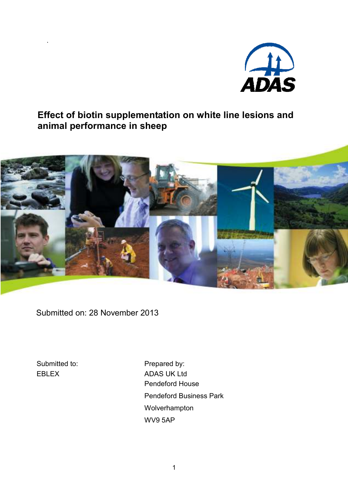

# Effect of biotin supplementation on white line lesions and animal performance in sheep



Submitted on: 28 November 2013

Submitted to: EBLEX

Prepared by: ADAS UK Ltd Pendeford House Pendeford Business Park Wolverhampton WV9 5AP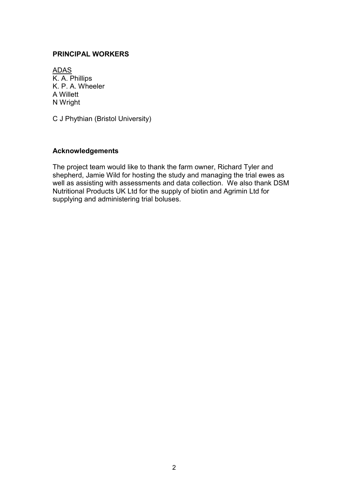## PRINCIPAL WORKERS

ADAS K. A. Phillips K. P. A. Wheeler A Willett N Wright

C J Phythian (Bristol University)

### Acknowledgements

The project team would like to thank the farm owner, Richard Tyler and shepherd, Jamie Wild for hosting the study and managing the trial ewes as well as assisting with assessments and data collection. We also thank DSM Nutritional Products UK Ltd for the supply of biotin and Agrimin Ltd for supplying and administering trial boluses.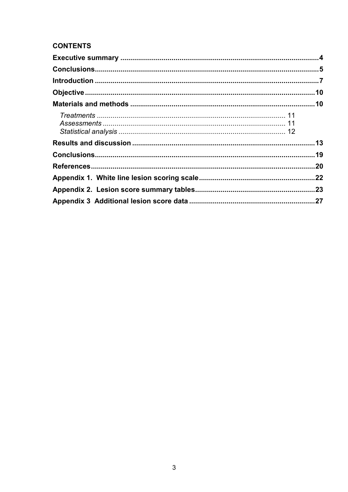# **CONTENTS**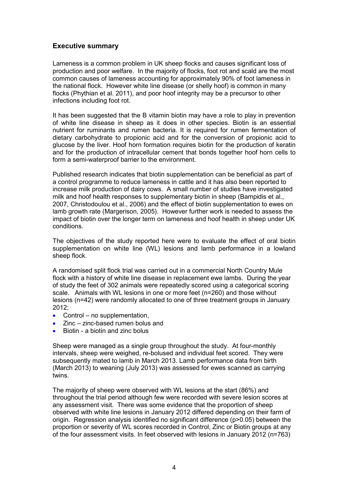## Executive summary

Lameness is a common problem in UK sheep flocks and causes significant loss of production and poor welfare. In the majority of flocks, foot rot and scald are the most common causes of lameness accounting for approximately 90% of foot lameness in the national flock. However white line disease (or shelly hoof) is common in many flocks (Phythian et al. 2011), and poor hoof integrity may be a precursor to other infections including foot rot.

It has been suggested that the B vitamin biotin may have a role to play in prevention of white line disease in sheep as it does in other species. Biotin is an essential nutrient for ruminants and rumen bacteria. It is required for rumen fermentation of dietary carbohydrate to propionic acid and for the conversion of propionic acid to glucose by the liver. Hoof horn formation requires biotin for the production of keratin and for the production of intracellular cement that bonds together hoof horn cells to form a semi-waterproof barrier to the environment.

Published research indicates that biotin supplementation can be beneficial as part of a control programme to reduce lameness in cattle and it has also been reported to increase milk production of dairy cows. A small number of studies have investigated milk and hoof health responses to supplementary biotin in sheep (Bampidis et al., 2007, Christodoulou et al., 2006) and the effect of biotin supplementation to ewes on lamb growth rate (Margerison, 2005). However further work is needed to assess the impact of biotin over the longer term on lameness and hoof health in sheep under UK conditions.

The objectives of the study reported here were to evaluate the effect of oral biotin supplementation on white line (WL) lesions and lamb performance in a lowland sheep flock.

A randomised split flock trial was carried out in a commercial North Country Mule flock with a history of white line disease in replacement ewe lambs. During the year of study the feet of 302 animals were repeatedly scored using a categorical scoring scale. Animals with WL lesions in one or more feet (n=260) and those without lesions (n=42) were randomly allocated to one of three treatment groups in January 2012;

- Control no supplementation,
- Zinc zinc-based rumen bolus and
- Biotin a biotin and zinc bolus

Sheep were managed as a single group throughout the study. At four-monthly intervals, sheep were weighed, re-bolused and individual feet scored. They were subsequently mated to lamb in March 2013. Lamb performance data from birth (March 2013) to weaning (July 2013) was assessed for ewes scanned as carrying twins.

The majority of sheep were observed with WL lesions at the start (86%) and throughout the trial period although few were recorded with severe lesion scores at any assessment visit. There was some evidence that the proportion of sheep observed with white line lesions in January 2012 differed depending on their farm of origin. Regression analysis identified no significant difference (p>0.05) between the proportion or severity of WL scores recorded in Control, Zinc or Biotin groups at any of the four assessment visits. In feet observed with lesions in January 2012 (n=763)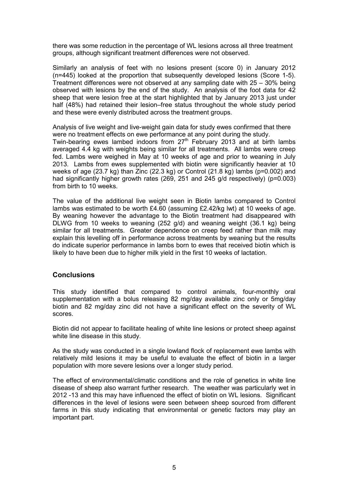there was some reduction in the percentage of WL lesions across all three treatment groups, although significant treatment differences were not observed.

Similarly an analysis of feet with no lesions present (score 0) in January 2012 (n=445) looked at the proportion that subsequently developed lesions (Score 1-5). Treatment differences were not observed at any sampling date with 25 – 30% being observed with lesions by the end of the study. An analysis of the foot data for 42 sheep that were lesion free at the start highlighted that by January 2013 just under half (48%) had retained their lesion–free status throughout the whole study period and these were evenly distributed across the treatment groups.

Analysis of live weight and live-weight gain data for study ewes confirmed that there were no treatment effects on ewe performance at any point during the study. Twin-bearing ewes lambed indoors from  $27<sup>th</sup>$  February 2013 and at birth lambs averaged 4.4 kg with weights being similar for all treatments. All lambs were creep

fed. Lambs were weighed in May at 10 weeks of age and prior to weaning in July 2013. Lambs from ewes supplemented with biotin were significantly heavier at 10 weeks of age (23.7 kg) than Zinc (22.3 kg) or Control (21.8 kg) lambs (p=0.002) and had significantly higher growth rates (269, 251 and 245 g/d respectively) (p=0.003) from birth to 10 weeks.

The value of the additional live weight seen in Biotin lambs compared to Control lambs was estimated to be worth £4.60 (assuming £2.42/kg lwt) at 10 weeks of age. By weaning however the advantage to the Biotin treatment had disappeared with DLWG from 10 weeks to weaning (252 g/d) and weaning weight (36.1 kg) being similar for all treatments. Greater dependence on creep feed rather than milk may explain this levelling off in performance across treatments by weaning but the results do indicate superior performance in lambs born to ewes that received biotin which is likely to have been due to higher milk yield in the first 10 weeks of lactation.

## **Conclusions**

This study identified that compared to control animals, four-monthly oral supplementation with a bolus releasing 82 mg/day available zinc only or 5mg/day biotin and 82 mg/day zinc did not have a significant effect on the severity of WL scores.

Biotin did not appear to facilitate healing of white line lesions or protect sheep against white line disease in this study.

As the study was conducted in a single lowland flock of replacement ewe lambs with relatively mild lesions it may be useful to evaluate the effect of biotin in a larger population with more severe lesions over a longer study period.

The effect of environmental/climatic conditions and the role of genetics in white line disease of sheep also warrant further research. The weather was particularly wet in 2012 -13 and this may have influenced the effect of biotin on WL lesions. Significant differences in the level of lesions were seen between sheep sourced from different farms in this study indicating that environmental or genetic factors may play an important part.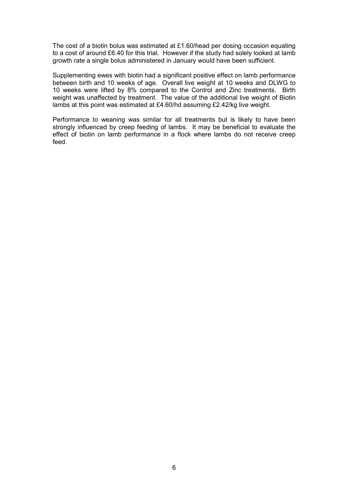The cost of a biotin bolus was estimated at £1.60/head per dosing occasion equating to a cost of around £6.40 for this trial. However if the study had solely looked at lamb growth rate a single bolus administered in January would have been sufficient.

Supplementing ewes with biotin had a significant positive effect on lamb performance between birth and 10 weeks of age. Overall live weight at 10 weeks and DLWG to 10 weeks were lifted by 8% compared to the Control and Zinc treatments. Birth weight was unaffected by treatment. The value of the additional live weight of Biotin lambs at this point was estimated at £4.60/hd assuming £2.42/kg live weight.

Performance to weaning was similar for all treatments but is likely to have been strongly influenced by creep feeding of lambs. It may be beneficial to evaluate the effect of biotin on lamb performance in a flock where lambs do not receive creep feed.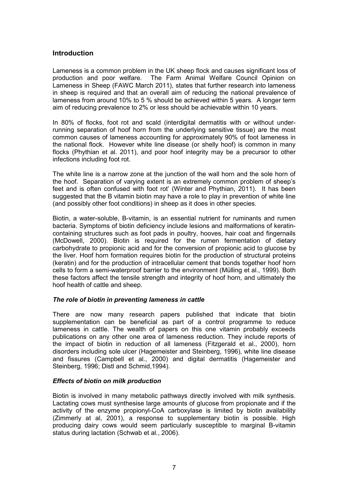## Introduction

Lameness is a common problem in the UK sheep flock and causes significant loss of production and poor welfare. The Farm Animal Welfare Council Opinion on Lameness in Sheep (FAWC March 2011), states that further research into lameness in sheep is required and that an overall aim of reducing the national prevalence of lameness from around 10% to 5 % should be achieved within 5 years. A longer term aim of reducing prevalence to 2% or less should be achievable within 10 years.

In 80% of flocks, foot rot and scald (interdigital dermatitis with or without underrunning separation of hoof horn from the underlying sensitive tissue) are the most common causes of lameness accounting for approximately 90% of foot lameness in the national flock. However white line disease (or shelly hoof) is common in many flocks (Phythian et al. 2011), and poor hoof integrity may be a precursor to other infections including foot rot.

The white line is a narrow zone at the junction of the wall horn and the sole horn of the hoof. Separation of varying extent is an extremely common problem of sheep's feet and is often confused with foot rot' (Winter and Phythian, 2011). It has been suggested that the B vitamin biotin may have a role to play in prevention of white line (and possibly other foot conditions) in sheep as it does in other species.

Biotin, a water-soluble, B-vitamin, is an essential nutrient for ruminants and rumen bacteria. Symptoms of biotin deficiency include lesions and malformations of keratincontaining structures such as foot pads in poultry, hooves, hair coat and fingernails (McDowell, 2000). Biotin is required for the rumen fermentation of dietary carbohydrate to propionic acid and for the conversion of propionic acid to glucose by the liver. Hoof horn formation requires biotin for the production of structural proteins (keratin) and for the production of intracellular cement that bonds together hoof horn cells to form a semi-waterproof barrier to the environment (Mülling et al., 1999). Both these factors affect the tensile strength and integrity of hoof horn, and ultimately the hoof health of cattle and sheep.

#### The role of biotin in preventing lameness in cattle

There are now many research papers published that indicate that biotin supplementation can be beneficial as part of a control programme to reduce lameness in cattle. The wealth of papers on this one vitamin probably exceeds publications on any other one area of lameness reduction. They include reports of the impact of biotin in reduction of all lameness (Fitzgerald et al., 2000), horn disorders including sole ulcer (Hagemeister and Steinberg, 1996), white line disease and fissures (Campbell et al., 2000) and digital dermatitis (Hagemeister and Steinberg, 1996; Distl and Schmid,1994).

#### Effects of biotin on milk production

Biotin is involved in many metabolic pathways directly involved with milk synthesis. Lactating cows must synthesise large amounts of glucose from propionate and if the activity of the enzyme propionyl-CoA carboxylase is limited by biotin availability (Zimmerly at al, 2001), a response to supplementary biotin is possible. High producing dairy cows would seem particularly susceptible to marginal B-vitamin status during lactation (Schwab et al., 2006).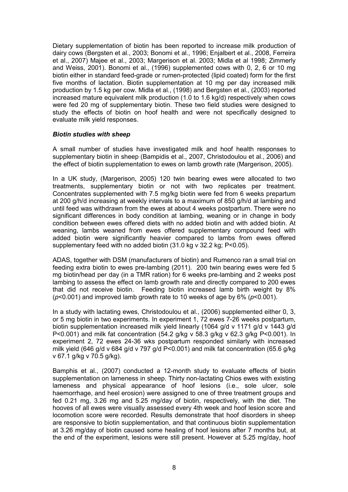Dietary supplementation of biotin has been reported to increase milk production of dairy cows (Bergsten et al., 2003; Bonomi et al., 1996; Enjalbert et al., 2008, Ferreira et al., 2007) Majee et al., 2003; Margerison et al. 2003; Midla et al 1998; Zimmerly and Weiss, 2001). Bonomi et al., (1996) supplemented cows with 0, 2, 6 or 10 mg biotin either in standard feed-grade or rumen-protected (lipid coated) form for the first five months of lactation. Biotin supplementation at 10 mg per day increased milk production by 1.5 kg per cow. Midla et al., (1998) and Bergsten et al., (2003) reported increased mature equivalent milk production (1.0 to 1.6 kg/d) respectively when cows were fed 20 mg of supplementary biotin. These two field studies were designed to study the effects of biotin on hoof health and were not specifically designed to evaluate milk yield responses.

#### Biotin studies with sheep

A small number of studies have investigated milk and hoof health responses to supplementary biotin in sheep (Bampidis et al., 2007, Christodoulou et al., 2006) and the effect of biotin supplementation to ewes on lamb growth rate (Margerison, 2005).

In a UK study, (Margerison, 2005) 120 twin bearing ewes were allocated to two treatments, supplementary biotin or not with two replicates per treatment. Concentrates supplemented with 7.5 mg/kg biotin were fed from 6 weeks prepartum at 200 g/h/d increasing at weekly intervals to a maximum of 850 g/h/d at lambing and until feed was withdrawn from the ewes at about 4 weeks postpartum. There were no significant differences in body condition at lambing, weaning or in change in body condition between ewes offered diets with no added biotin and with added biotin. At weaning, lambs weaned from ewes offered supplementary compound feed with added biotin were significantly heavier compared to lambs from ewes offered supplementary feed with no added biotin (31.0 kg v 32.2 kg; P<0.05).

ADAS, together with DSM (manufacturers of biotin) and Rumenco ran a small trial on feeding extra biotin to ewes pre-lambing (2011). 200 twin bearing ewes were fed 5 mg biotin/head per day (in a TMR ration) for 6 weeks pre-lambing and 2 weeks post lambing to assess the effect on lamb growth rate and directly compared to 200 ewes that did not receive biotin. Feeding biotin increased lamb birth weight by 8% ( $p$ <0.001) and improved lamb growth rate to 10 weeks of age by 6% ( $p$ <0.001).

In a study with lactating ewes, Christodoulou et al., (2006) supplemented either 0, 3, or 5 mg biotin in two experiments. In experiment 1, 72 ewes 7-26 weeks postpartum, biotin supplementation increased milk yield linearly (1064 g/d v 1171 g/d v 1443 g/d P<0.001) and milk fat concentration (54.2 g/kg v 58.3 g/kg v 62.3 g/kg P<0.001). In experiment 2, 72 ewes 24-36 wks postpartum responded similarly with increased milk yield (646 g/d v 684 g/d v 797 g/d P<0.001) and milk fat concentration (65.6 g/kg v 67.1 g/kg v 70.5 g/kg).

Bamphis et al., (2007) conducted a 12-month study to evaluate effects of biotin supplementation on lameness in sheep. Thirty non-lactating Chios ewes with existing lameness and physical appearance of hoof lesions (i.e., sole ulcer, sole haemorrhage, and heel erosion) were assigned to one of three treatment groups and fed 0.21 mg, 3.26 mg and 5.25 mg/day of biotin, respectively, with the diet. The hooves of all ewes were visually assessed every 4th week and hoof lesion score and locomotion score were recorded. Results demonstrate that hoof disorders in sheep are responsive to biotin supplementation, and that continuous biotin supplementation at 3.26 mg/day of biotin caused some healing of hoof lesions after 7 months but, at the end of the experiment, lesions were still present. However at 5.25 mg/day, hoof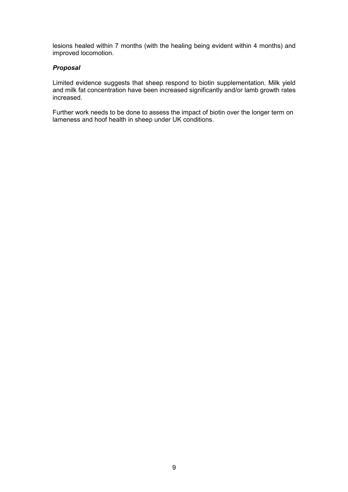lesions healed within 7 months (with the healing being evident within 4 months) and improved locomotion.

#### Proposal

Limited evidence suggests that sheep respond to biotin supplementation. Milk yield and milk fat concentration have been increased significantly and/or lamb growth rates increased.

Further work needs to be done to assess the impact of biotin over the longer term on lameness and hoof health in sheep under UK conditions.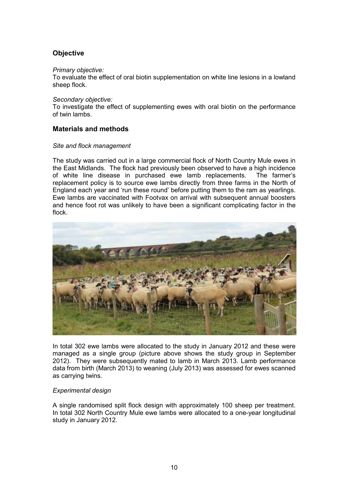# **Objective**

#### Primary objective:

To evaluate the effect of oral biotin supplementation on white line lesions in a lowland sheep flock.

#### Secondary objective:

To investigate the effect of supplementing ewes with oral biotin on the performance of twin lambs.

### Materials and methods

#### Site and flock management

The study was carried out in a large commercial flock of North Country Mule ewes in the East Midlands. The flock had previously been observed to have a high incidence of white line disease in purchased ewe lamb replacements. The farmer's replacement policy is to source ewe lambs directly from three farms in the North of England each year and 'run these round' before putting them to the ram as yearlings. Ewe lambs are vaccinated with Footvax on arrival with subsequent annual boosters and hence foot rot was unlikely to have been a significant complicating factor in the flock.



In total 302 ewe lambs were allocated to the study in January 2012 and these were managed as a single group (picture above shows the study group in September 2012). They were subsequently mated to lamb in March 2013. Lamb performance data from birth (March 2013) to weaning (July 2013) was assessed for ewes scanned as carrying twins.

#### Experimental design

A single randomised split flock design with approximately 100 sheep per treatment. In total 302 North Country Mule ewe lambs were allocated to a one-year longitudinal study in January 2012.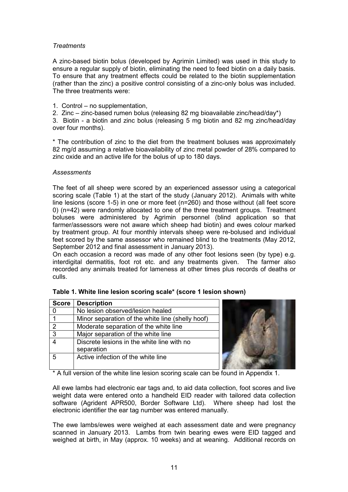### **Treatments**

A zinc-based biotin bolus (developed by Agrimin Limited) was used in this study to ensure a regular supply of biotin, eliminating the need to feed biotin on a daily basis. To ensure that any treatment effects could be related to the biotin supplementation (rather than the zinc) a positive control consisting of a zinc-only bolus was included. The three treatments were:

1. Control – no supplementation,

2. Zinc – zinc-based rumen bolus (releasing 82 mg bioavailable zinc/head/day\*)

3. Biotin - a biotin and zinc bolus (releasing 5 mg biotin and 82 mg zinc/head/day over four months).

\* The contribution of zinc to the diet from the treatment boluses was approximately 82 mg/d assuming a relative bioavailability of zinc metal powder of 28% compared to zinc oxide and an active life for the bolus of up to 180 days.

#### **Assessments**

The feet of all sheep were scored by an experienced assessor using a categorical scoring scale (Table 1) at the start of the study (January 2012). Animals with white line lesions (score 1-5) in one or more feet (n=260) and those without (all feet score 0) (n=42) were randomly allocated to one of the three treatment groups. Treatment boluses were administered by Agrimin personnel (blind application so that farmer/assessors were not aware which sheep had biotin) and ewes colour marked by treatment group. At four monthly intervals sheep were re-bolused and individual feet scored by the same assessor who remained blind to the treatments (May 2012, September 2012 and final assessment in January 2013).

On each occasion a record was made of any other foot lesions seen (by type) e.g. interdigital dermatitis, foot rot etc. and any treatments given. The farmer also recorded any animals treated for lameness at other times plus records of deaths or culls.

| <b>Score</b>  | <b>Description</b>                               |
|---------------|--------------------------------------------------|
|               | No lesion observed/lesion healed                 |
| 1             | Minor separation of the white line (shelly hoof) |
| $\mathcal{P}$ | Moderate separation of the white line            |
| 3             | Major separation of the white line               |
|               | Discrete lesions in the white line with no       |
|               | separation                                       |
| 5             | Active infection of the white line               |
|               |                                                  |

|  |  |  |  |  |  |  | Table 1. White line lesion scoring scale* (score 1 lesion shown) |  |
|--|--|--|--|--|--|--|------------------------------------------------------------------|--|
|--|--|--|--|--|--|--|------------------------------------------------------------------|--|

\* A full version of the white line lesion scoring scale can be found in Appendix 1.

All ewe lambs had electronic ear tags and, to aid data collection, foot scores and live weight data were entered onto a handheld EID reader with tailored data collection software (Agrident APR500, Border Software Ltd). Where sheep had lost the electronic identifier the ear tag number was entered manually.

The ewe lambs/ewes were weighed at each assessment date and were pregnancy scanned in January 2013. Lambs from twin bearing ewes were EID tagged and weighed at birth, in May (approx. 10 weeks) and at weaning. Additional records on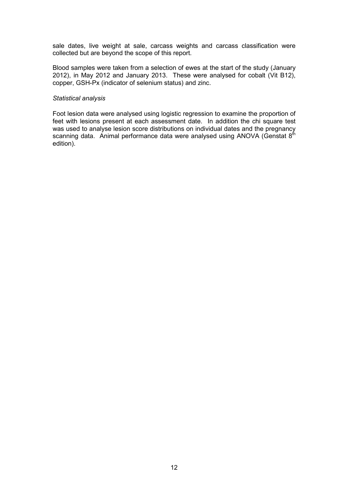sale dates, live weight at sale, carcass weights and carcass classification were collected but are beyond the scope of this report.

Blood samples were taken from a selection of ewes at the start of the study (January 2012), in May 2012 and January 2013. These were analysed for cobalt (Vit B12), copper, GSH-Px (indicator of selenium status) and zinc.

#### Statistical analysis

Foot lesion data were analysed using logistic regression to examine the proportion of feet with lesions present at each assessment date. In addition the chi square test was used to analyse lesion score distributions on individual dates and the pregnancy scanning data. Animal performance data were analysed using ANOVA (Genstat 8<sup>th</sup> edition).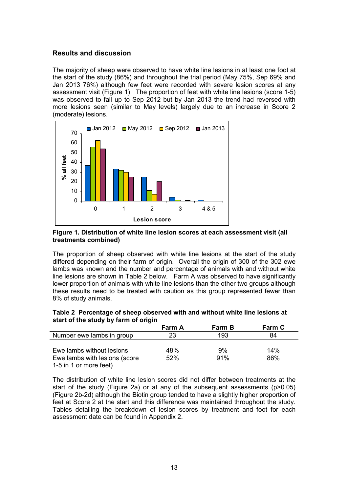## Results and discussion

The majority of sheep were observed to have white line lesions in at least one foot at the start of the study (86%) and throughout the trial period (May 75%, Sep 69% and Jan 2013 76%) although few feet were recorded with severe lesion scores at any assessment visit (Figure 1). The proportion of feet with white line lesions (score 1-5) was observed to fall up to Sep 2012 but by Jan 2013 the trend had reversed with more lesions seen (similar to May levels) largely due to an increase in Score 2 (moderate) lesions.



#### Figure 1. Distribution of white line lesion scores at each assessment visit (all treatments combined)

The proportion of sheep observed with white line lesions at the start of the study differed depending on their farm of origin. Overall the origin of 300 of the 302 ewe lambs was known and the number and percentage of animals with and without white line lesions are shown in Table 2 below. Farm A was observed to have significantly lower proportion of animals with white line lesions than the other two groups although these results need to be treated with caution as this group represented fewer than 8% of study animals.

|  | Table 2 Percentage of sheep observed with and without white line lesions at |  |  |
|--|-----------------------------------------------------------------------------|--|--|
|  | start of the study by farm of origin                                        |  |  |

|                               | <b>Farm A</b> | <b>Farm B</b> | Farm C |
|-------------------------------|---------------|---------------|--------|
| Number ewe lambs in group     | 23            | 193           | 84     |
|                               |               |               |        |
| Ewe lambs without lesions     | 48%           | 9%            | 14%    |
| Ewe lambs with lesions (score | 52%           | 91%           | 86%    |
| 1-5 in 1 or more feet)        |               |               |        |

The distribution of white line lesion scores did not differ between treatments at the start of the study (Figure 2a) or at any of the subsequent assessments (p>0.05) (Figure 2b-2d) although the Biotin group tended to have a slightly higher proportion of feet at Score 2 at the start and this difference was maintained throughout the study. Tables detailing the breakdown of lesion scores by treatment and foot for each assessment date can be found in Appendix 2.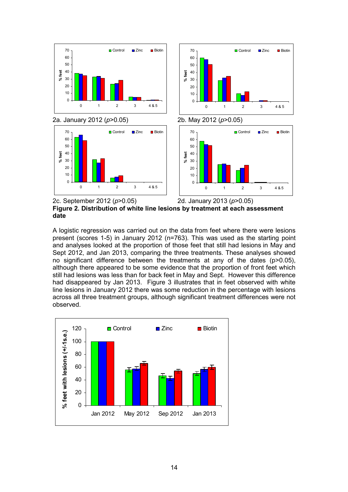

Figure 2. Distribution of white line lesions by treatment at each assessment date

A logistic regression was carried out on the data from feet where there were lesions present (scores 1-5) in January 2012 (n=763). This was used as the starting point and analyses looked at the proportion of those feet that still had lesions in May and Sept 2012, and Jan 2013, comparing the three treatments. These analyses showed no significant difference between the treatments at any of the dates (p>0.05), although there appeared to be some evidence that the proportion of front feet which still had lesions was less than for back feet in May and Sept. However this difference had disappeared by Jan 2013. Figure 3 illustrates that in feet observed with white line lesions in January 2012 there was some reduction in the percentage with lesions across all three treatment groups, although significant treatment differences were not observed.

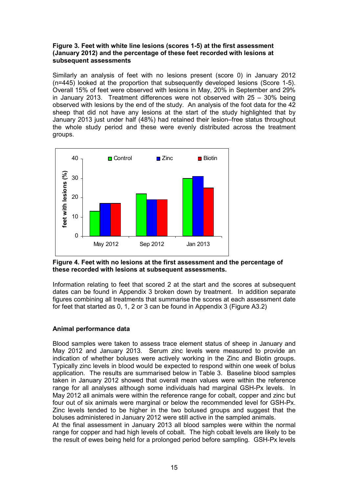#### Figure 3. Feet with white line lesions (scores 1-5) at the first assessment (January 2012) and the percentage of these feet recorded with lesions at subsequent assessments

Similarly an analysis of feet with no lesions present (score 0) in January 2012 (n=445) looked at the proportion that subsequently developed lesions (Score 1-5). Overall 15% of feet were observed with lesions in May, 20% in September and 29% in January 2013. Treatment differences were not observed with 25 – 30% being observed with lesions by the end of the study. An analysis of the foot data for the 42 sheep that did not have any lesions at the start of the study highlighted that by January 2013 just under half (48%) had retained their lesion–free status throughout the whole study period and these were evenly distributed across the treatment groups.



Figure 4. Feet with no lesions at the first assessment and the percentage of these recorded with lesions at subsequent assessments.

Information relating to feet that scored 2 at the start and the scores at subsequent dates can be found in Appendix 3 broken down by treatment. In addition separate figures combining all treatments that summarise the scores at each assessment date for feet that started as 0, 1, 2 or 3 can be found in Appendix 3 (Figure A3.2)

## Animal performance data

Blood samples were taken to assess trace element status of sheep in January and May 2012 and January 2013. Serum zinc levels were measured to provide an indication of whether boluses were actively working in the Zinc and Biotin groups. Typically zinc levels in blood would be expected to respond within one week of bolus application. The results are summarised below in Table 3. Baseline blood samples taken in January 2012 showed that overall mean values were within the reference range for all analyses although some individuals had marginal GSH-Px levels. In May 2012 all animals were within the reference range for cobalt, copper and zinc but four out of six animals were marginal or below the recommended level for GSH-Px. Zinc levels tended to be higher in the two bolused groups and suggest that the boluses administered in January 2012 were still active in the sampled animals.

At the final assessment in January 2013 all blood samples were within the normal range for copper and had high levels of cobalt. The high cobalt levels are likely to be the result of ewes being held for a prolonged period before sampling. GSH-Px levels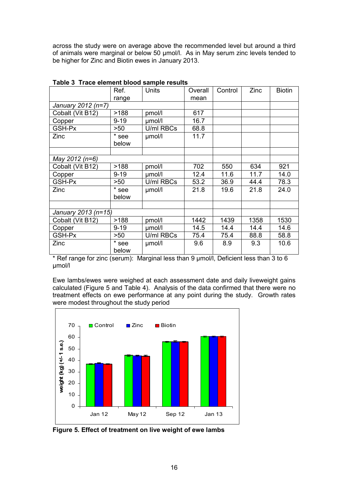across the study were on average above the recommended level but around a third of animals were marginal or below 50 µmol/l. As in May serum zinc levels tended to be higher for Zinc and Biotin ewes in January 2013.

|                     | Ref.     | <b>THE PROPERTY AND A CALLAIG</b><br><b>Units</b> | Overall | Control | Zinc | <b>Biotin</b> |
|---------------------|----------|---------------------------------------------------|---------|---------|------|---------------|
|                     | range    |                                                   | mean    |         |      |               |
| January 2012 (n=7)  |          |                                                   |         |         |      |               |
| Cobalt (Vit B12)    | >188     | pmol/l                                            | 617     |         |      |               |
| Copper              | $9 - 19$ | umol/l                                            | 16.7    |         |      |               |
| GSH-Px              | >50      | U/ml RBCs                                         | 68.8    |         |      |               |
| Zinc                | * see    | umol/l                                            | 11.7    |         |      |               |
|                     | below    |                                                   |         |         |      |               |
|                     |          |                                                   |         |         |      |               |
| May 2012 (n=6)      |          |                                                   |         |         |      |               |
| Cobalt (Vit B12)    | >188     | pmol/l                                            | 702     | 550     | 634  | 921           |
| Copper              | $9 - 19$ | umol/l                                            | 12.4    | 11.6    | 11.7 | 14.0          |
| GSH-Px              | >50      | U/ml RBCs                                         | 53.2    | 36.9    | 44.4 | 78.3          |
| Zinc                | * see    | µmol/l                                            | 21.8    | 19.6    | 21.8 | 24.0          |
|                     | below    |                                                   |         |         |      |               |
|                     |          |                                                   |         |         |      |               |
| January 2013 (n=15) |          |                                                   |         |         |      |               |
| Cobalt (Vit B12)    | >188     | pmol/l                                            | 1442    | 1439    | 1358 | 1530          |
| Copper              | $9 - 19$ | umol/l                                            | 14.5    | 14.4    | 14.4 | 14.6          |
| GSH-Px              | >50      | U/ml RBCs                                         | 75.4    | 75.4    | 88.8 | 58.8          |
| Zinc                | * see    | umol/l                                            | 9.6     | 8.9     | 9.3  | 10.6          |
|                     | below    |                                                   |         |         |      |               |

Table 3 Trace element blood sample results

\* Ref range for zinc (serum): Marginal less than 9 µmol/l, Deficient less than 3 to 6 µmol/l

Ewe lambs/ewes were weighed at each assessment date and daily liveweight gains calculated (Figure 5 and Table 4). Analysis of the data confirmed that there were no treatment effects on ewe performance at any point during the study. Growth rates were modest throughout the study period



Figure 5. Effect of treatment on live weight of ewe lambs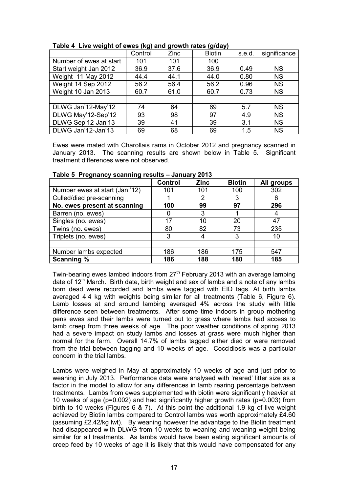|                         | <u>、 、 。</u> |      | . <i>. .</i>  |        |              |
|-------------------------|--------------|------|---------------|--------|--------------|
|                         | Control      | Zinc | <b>Biotin</b> | s.e.d. | significance |
| Number of ewes at start | 101          | 101  | 100           |        |              |
| Start weight Jan 2012   | 36.9         | 37.6 | 36.9          | 0.49   | <b>NS</b>    |
| Weight 11 May 2012      | 44.4         | 44.1 | 44.0          | 0.80   | <b>NS</b>    |
| Weight 14 Sep 2012      | 56.2         | 56.4 | 56.2          | 0.96   | <b>NS</b>    |
| Weight 10 Jan 2013      | 60.7         | 61.0 | 60.7          | 0.73   | <b>NS</b>    |
|                         |              |      |               |        |              |
| DLWG Jan'12-May'12      | 74           | 64   | 69            | 5.7    | <b>NS</b>    |
| DLWG May'12-Sep'12      | 93           | 98   | 97            | 4.9    | <b>NS</b>    |
| DLWG Sep'12-Jan'13      | 39           | 41   | 39            | 3.1    | <b>NS</b>    |
| DLWG Jan'12-Jan'13      | 69           | 68   | 69            | 1.5    | <b>NS</b>    |

Table 4 Live weight of ewes (kg) and growth rates (g/day)

Ewes were mated with Charollais rams in October 2012 and pregnancy scanned in January 2013. The scanning results are shown below in Table 5. Significant treatment differences were not observed.

|                                | <b>Control</b> | <b>Zinc</b> | <b>Biotin</b> | All groups |
|--------------------------------|----------------|-------------|---------------|------------|
| Number ewes at start (Jan '12) | 101            | 101         | 100           | 302        |
| Culled/died pre-scanning       |                | 2           | 3             | 6          |
| No. ewes present at scanning   | 100            | 99          | 97            | 296        |
| Barren (no. ewes)              |                | 3           |               | 4          |
| Singles (no. ewes)             | 17             | 10          | 20            | 47         |
| Twins (no. ewes)               | 80             | 82          | 73            | 235        |
| Triplets (no. ewes)            | 3              |             | 3             | 10         |
|                                |                |             |               |            |
| Number lambs expected          | 186            | 186         | 175           | 547        |
| <b>Scanning %</b>              | 186            | 188         | 180           | 185        |

Table 5 Pregnancy scanning results – January 2013

Twin-bearing ewes lambed indoors from  $27<sup>th</sup>$  February 2013 with an average lambing date of  $12<sup>th</sup>$  March. Birth date, birth weight and sex of lambs and a note of any lambs born dead were recorded and lambs were tagged with EID tags. At birth lambs averaged 4.4 kg with weights being similar for all treatments (Table 6, Figure 6). Lamb losses at and around lambing averaged 4% across the study with little difference seen between treatments. After some time indoors in group mothering pens ewes and their lambs were turned out to grass where lambs had access to lamb creep from three weeks of age. The poor weather conditions of spring 2013 had a severe impact on study lambs and losses at grass were much higher than normal for the farm. Overall 14.7% of lambs tagged either died or were removed from the trial between tagging and 10 weeks of age. Coccidiosis was a particular concern in the trial lambs.

Lambs were weighed in May at approximately 10 weeks of age and just prior to weaning in July 2013. Performance data were analysed with 'reared' litter size as a factor in the model to allow for any differences in lamb rearing percentage between treatments. Lambs from ewes supplemented with biotin were significantly heavier at 10 weeks of age (p=0.002) and had significantly higher growth rates (p=0.003) from birth to 10 weeks (Figures 6 & 7). At this point the additional 1.9 kg of live weight achieved by Biotin lambs compared to Control lambs was worth approximately £4.60 (assuming £2.42/kg lwt). By weaning however the advantage to the Biotin treatment had disappeared with DLWG from 10 weeks to weaning and weaning weight being similar for all treatments. As lambs would have been eating significant amounts of creep feed by 10 weeks of age it is likely that this would have compensated for any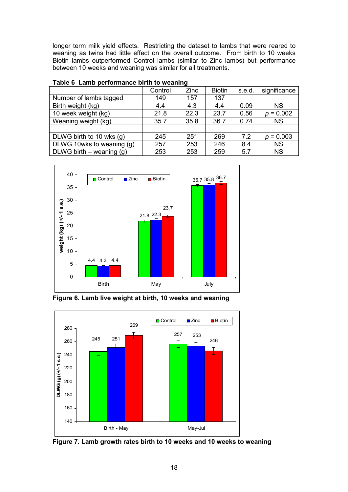longer term milk yield effects. Restricting the dataset to lambs that were reared to weaning as twins had little effect on the overall outcome. From birth to 10 weeks Biotin lambs outperformed Control lambs (similar to Zinc lambs) but performance between 10 weeks and weaning was similar for all treatments.

| Control | Zinc | <b>Biotin</b> | s.e.d. | significance |  |  |  |  |
|---------|------|---------------|--------|--------------|--|--|--|--|
| 149     | 157  | 137           |        |              |  |  |  |  |
| 4.4     | 4.3  | 4.4           | 0.09   | <b>NS</b>    |  |  |  |  |
| 21.8    | 22.3 | 23.7          | 0.56   | $p = 0.002$  |  |  |  |  |
| 35.7    | 35.8 | 36.7          | 0.74   | <b>NS</b>    |  |  |  |  |
|         |      |               |        |              |  |  |  |  |
| 245     | 251  | 269           | 7.2    | $p = 0.003$  |  |  |  |  |
| 257     | 253  | 246           | 8.4    | <b>NS</b>    |  |  |  |  |
| 253     | 253  | 259           | 5.7    | <b>NS</b>    |  |  |  |  |
|         |      |               |        |              |  |  |  |  |

| Table 6 Lamb performance birth to weaning |  |
|-------------------------------------------|--|
|-------------------------------------------|--|



Figure 6. Lamb live weight at birth, 10 weeks and weaning



Figure 7. Lamb growth rates birth to 10 weeks and 10 weeks to weaning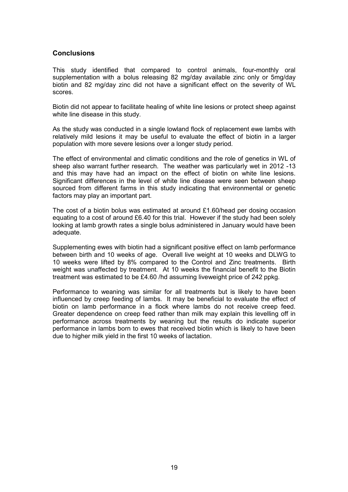### **Conclusions**

This study identified that compared to control animals, four-monthly oral supplementation with a bolus releasing 82 mg/day available zinc only or 5mg/day biotin and 82 mg/day zinc did not have a significant effect on the severity of WL scores.

Biotin did not appear to facilitate healing of white line lesions or protect sheep against white line disease in this study.

As the study was conducted in a single lowland flock of replacement ewe lambs with relatively mild lesions it may be useful to evaluate the effect of biotin in a larger population with more severe lesions over a longer study period.

The effect of environmental and climatic conditions and the role of genetics in WL of sheep also warrant further research. The weather was particularly wet in 2012 -13 and this may have had an impact on the effect of biotin on white line lesions. Significant differences in the level of white line disease were seen between sheep sourced from different farms in this study indicating that environmental or genetic factors may play an important part.

The cost of a biotin bolus was estimated at around £1.60/head per dosing occasion equating to a cost of around £6.40 for this trial. However if the study had been solely looking at lamb growth rates a single bolus administered in January would have been adequate.

Supplementing ewes with biotin had a significant positive effect on lamb performance between birth and 10 weeks of age. Overall live weight at 10 weeks and DLWG to 10 weeks were lifted by 8% compared to the Control and Zinc treatments. Birth weight was unaffected by treatment. At 10 weeks the financial benefit to the Biotin treatment was estimated to be £4.60 /hd assuming liveweight price of 242 ppkg.

Performance to weaning was similar for all treatments but is likely to have been influenced by creep feeding of lambs. It may be beneficial to evaluate the effect of biotin on lamb performance in a flock where lambs do not receive creep feed. Greater dependence on creep feed rather than milk may explain this levelling off in performance across treatments by weaning but the results do indicate superior performance in lambs born to ewes that received biotin which is likely to have been due to higher milk yield in the first 10 weeks of lactation.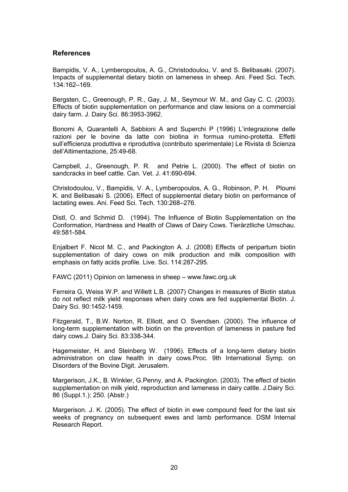#### References

Bampidis, V. A., Lymberopoulos, A. G., Christodoulou, V. and S. Belibasaki. (2007). Impacts of supplemental dietary biotin on lameness in sheep. Ani. Feed Sci. Tech. 134:162–169.

Bergsten, C., Greenough, P. R., Gay, J. M., Seymour W. M., and Gay C. C. (2003). Effects of biotin supplementation on performance and claw lesions on a commercial dairy farm. J. Dairy Sci. 86:3953-3962.

Bonomi A, Quarantelli A, Sabbioni A and Superchi P (1996) L'integrazione delle razioni per le bovine da latte con biotina in formua rumino-protetta. Effetti sull'efficienza produttiva e riproduttiva (contributo sperimentale) Le Rivista di Scienza dell'Altimentazione, 25:49-68.

Campbell, J., Greenough, P. R. and Petrie L. (2000). The effect of biotin on sandcracks in beef cattle. Can. Vet. J. 41:690-694.

Christodoulou, V., Bampidis, V. A., Lymberopoulos, A. G., Robinson, P. H. Ploumi K. and Belibasaki S. (2006). Effect of supplemental dietary biotin on performance of lactating ewes. Ani. Feed Sci. Tech. 130:268–276.

Distl, O. and Schmid D. (1994). The Influence of Biotin Supplementation on the Conformation, Hardness and Health of Claws of Dairy Cows. Tierärztliche Umschau. 49:581-584.

Enjalbert F. Nicot M. C., and Packington A. J. (2008) Effects of peripartum biotin supplementation of dairy cows on milk production and milk composition with emphasis on fatty acids profile. Live. Sci. 114:287-295.

FAWC (2011) Opinion on lameness in sheep – www.fawc.org.uk

Ferreira G, Weiss W.P. and Willett L.B. (2007) Changes in measures of Biotin status do not reflect milk yield responses when dairy cows are fed supplemental Biotin. J. Dairy Sci. 90:1452-1459.

Fitzgerald, T., B.W. Norton, R. Elliott, and O. Svendsen. (2000). The influence of long-term supplementation with biotin on the prevention of lameness in pasture fed dairy cows.J. Dairy Sci. 83:338-344.

Hagemeister, H. and Steinberg W. (1996). Effects of a long-term dietary biotin administration on claw health in dairy cows.Proc. 9th International Symp. on Disorders of the Bovine Digit. Jerusalem.

Margerison, J.K., B. Winkler, G.Penny, and A. Packington. (2003). The effect of biotin supplementation on milk yield, reproduction and lameness in dairy cattle. J.Dairy Sci. 86 (Suppl.1.): 250. (Abstr.)

Margerison. J. K. (2005). The effect of biotin in ewe compound feed for the last six weeks of pregnancy on subsequent ewes and lamb performance. DSM Internal Research Report.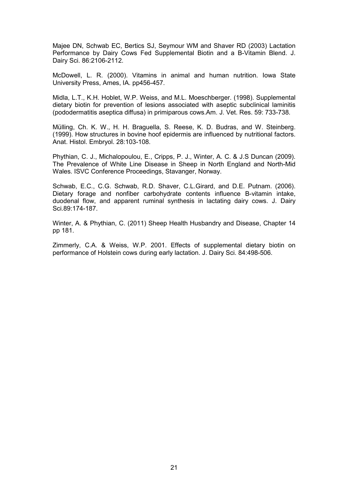Majee DN, Schwab EC, Bertics SJ, Seymour WM and Shaver RD (2003) Lactation Performance by Dairy Cows Fed Supplemental Biotin and a B-Vitamin Blend. J. Dairy Sci. 86:2106-2112.

McDowell, L. R. (2000). Vitamins in animal and human nutrition. Iowa State University Press, Ames, IA. pp456-457.

Midla, L.T., K.H. Hoblet, W.P. Weiss, and M.L. Moeschberger. (1998). Supplemental dietary biotin for prevention of lesions associated with aseptic subclinical laminitis (pododermatitis aseptica diffusa) in primiparous cows.Am. J. Vet. Res. 59: 733-738.

Mülling, Ch. K. W., H. H. Braguella, S. Reese, K. D. Budras, and W. Steinberg. (1999). How structures in bovine hoof epidermis are influenced by nutritional factors. Anat. Histol. Embryol. 28:103-108.

Phythian, C. J., Michalopoulou, E., Cripps, P. J., Winter, A. C. & J.S Duncan (2009). The Prevalence of White Line Disease in Sheep in North England and North-Mid Wales. ISVC Conference Proceedings, Stavanger, Norway.

Schwab, E.C., C.G. Schwab, R.D. Shaver, C.L.Girard, and D.E. Putnam. (2006). Dietary forage and nonfiber carbohydrate contents influence B-vitamin intake, duodenal flow, and apparent ruminal synthesis in lactating dairy cows. J. Dairy Sci.89:174-187.

Winter, A. & Phythian, C. (2011) Sheep Health Husbandry and Disease, Chapter 14 pp 181.

Zimmerly, C.A. & Weiss, W.P. 2001. Effects of supplemental dietary biotin on performance of Holstein cows during early lactation. J. Dairy Sci. 84:498-506.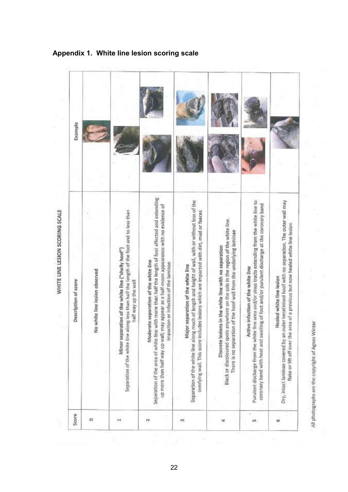| Example<br>Description of score | No white line lesion observed | Separation of the white line along less than half the length of the foot and to less than<br>Minor separation of the white line ("shelly hoof")<br>half way up the wall | Separation of the area of white line with more than half the length of foot affected and extending<br>up more than half way up wall; may appear as a half-moon appearance with no evidence of<br>Moderate separation of the white line<br>impaction or infection of the laminae | Separation of the white line along much of length and height of wall, with or without loss of the<br>overlying wall. This score includes leslons which are impacted with dirt, mud or faeces<br>Major separation of the white line | Black or discoloured spots anywhere on the sole in the region of the white line.<br>There is no separation of the hoof wall from the underlying laminae<br>Discrete lesions in the white line with no separation | Purulent discharge from the white line area and/or sinus tracts extending from the white line to<br>coronary band with heat and swelling of foot and/or purulent discharge at the coronary band<br>Active infection of the white line | outer keratinised hoof with no separation. The outer wall may<br>area of a previous but now healed white line lesion<br>Healed white line lesion |
|---------------------------------|-------------------------------|-------------------------------------------------------------------------------------------------------------------------------------------------------------------------|---------------------------------------------------------------------------------------------------------------------------------------------------------------------------------------------------------------------------------------------------------------------------------|------------------------------------------------------------------------------------------------------------------------------------------------------------------------------------------------------------------------------------|------------------------------------------------------------------------------------------------------------------------------------------------------------------------------------------------------------------|---------------------------------------------------------------------------------------------------------------------------------------------------------------------------------------------------------------------------------------|--------------------------------------------------------------------------------------------------------------------------------------------------|
| Score                           | ۰                             | ᆏ                                                                                                                                                                       | $\sim$                                                                                                                                                                                                                                                                          | m                                                                                                                                                                                                                                  |                                                                                                                                                                                                                  | in                                                                                                                                                                                                                                    | Dry, Intact laminae covered by an<br>flake or lift off over the<br>φ                                                                             |

Appendix 1. White line lesion scoring scale

22

All photographs are the copyright of Agnes Winter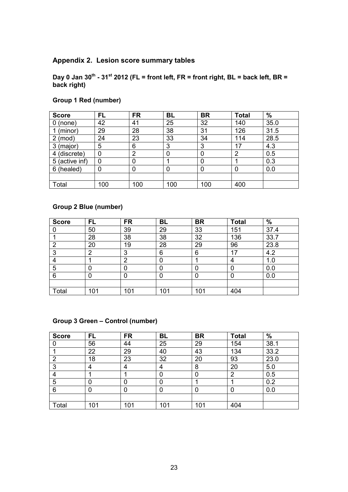## Appendix 2. Lesion score summary tables

Day 0 Jan 30<sup>th</sup> - 31<sup>st</sup> 2012 (FL = front left, FR = front right, BL = back left, BR = back right)

| <b>Score</b>    | <b>FL</b> | <b>FR</b> | <b>BL</b> | <b>BR</b> | <b>Total</b> | %    |
|-----------------|-----------|-----------|-----------|-----------|--------------|------|
| (none)<br>0     | 42        | 41        | 25        | 32        | 140          | 35.0 |
| (minor)         | 29        | 28        | 38        | 31        | 126          | 31.5 |
| (mod)           | 24        | 23        | 33        | 34        | 114          | 28.5 |
| (major)<br>3    | 5         | 6         | 3         | 3         | 17           | 4.3  |
| (discrete)<br>4 | 0         | 2         | 0         | 0         | 2            | 0.5  |
| 5 (active inf)  | 0         |           |           | 0         |              | 0.3  |
| (healed)<br>6   | 0         | 0         | 0         | 0         | 0            | 0.0  |
|                 |           |           |           |           |              |      |
| Total           | 100       | 100       | 100       | 100       | 400          |      |

# Group 1 Red (number)

## Group 2 Blue (number)

| <b>Score</b> | <b>FL</b> | <b>FR</b> | <b>BL</b> | <b>BR</b> | <b>Total</b> | $\frac{9}{6}$ |
|--------------|-----------|-----------|-----------|-----------|--------------|---------------|
|              | 50        | 39        | 29        | 33        | 151          | 37.4          |
|              | 28        | 38        | 38        | 32        | 136          | 33.7          |
| າ            | 20        | 19        | 28        | 29        | 96           | 23.8          |
| 3            | ⌒         | 3         | 6         | 6         | 17           | 4.2           |
|              |           | റ         |           |           | 4            | 1.0           |
| 5            | 0         | 0         | 0         | 0         | 0            | 0.0           |
| 6            |           |           |           | 0         | 0            | 0.0           |
|              |           |           |           |           |              |               |
| Total        | 101       | 101       | 101       | 101       | 404          |               |

## Group 3 Green – Control (number)

| <b>Score</b> | FL  | <b>FR</b> | <b>BL</b> | <b>BR</b> | <b>Total</b> | $\frac{9}{6}$ |
|--------------|-----|-----------|-----------|-----------|--------------|---------------|
|              | 56  | 44        | 25        | 29        | 154          | 38.1          |
|              | 22  | 29        | 40        | 43        | 134          | 33.2          |
| റ            | 18  | 23        | 32        | 20        | 93           | 23.0          |
| ົ            | 4   | 4         | 4         | 8         | 20           | 5.0           |
|              |     |           |           | 0         | ົ            | 0.5           |
| 5            |     |           | 0         |           |              | 0.2           |
| 6            |     | 0         |           | 0         |              | 0.0           |
|              |     |           |           |           |              |               |
| Total        | 101 | 101       | 101       | 101       | 404          |               |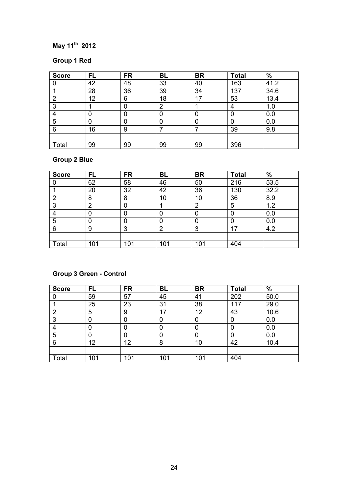# May 11<sup>th</sup> 2012

# Group 1 Red

| <b>Score</b> | <b>FL</b> | <b>FR</b> | <b>BL</b> | <b>BR</b> | <b>Total</b> | $\%$ |
|--------------|-----------|-----------|-----------|-----------|--------------|------|
|              | 42        | 48        | 33        | 40        | 163          | 41.2 |
|              | 28        | 36        | 39        | 34        | 137          | 34.6 |
| റ            | 12        | 6         | 18        | 17        | 53           | 13.4 |
| ◠            |           |           | າ         |           | 4            | 1.0  |
|              |           | 0         |           |           |              | 0.0  |
| 5            |           |           |           |           |              | 0.0  |
| 6            | 16        | 9         |           |           | 39           | 9.8  |
|              |           |           |           |           |              |      |
| Total        | 99        | 99        | 99        | 99        | 396          |      |

# Group 2 Blue

| <b>Score</b>     | FL  | <b>FR</b> | <b>BL</b> | <b>BR</b> | <b>Total</b> | %    |
|------------------|-----|-----------|-----------|-----------|--------------|------|
|                  | 62  | 58        | 46        | 50        | 216          | 53.5 |
|                  | 20  | 32        | 42        | 36        | 130          | 32.2 |
| റ                | 8   | 8         | 10        | 10        | 36           | 8.9  |
| ◠                | າ   |           |           | າ         | 5            | 1.2  |
|                  |     |           |           | 0         |              | 0.0  |
| 5                |     |           | 0         | 0         |              | 0.0  |
| 6                | 9   | 3         | റ<br>ے    | 3         | 17           | 4.2  |
|                  |     |           |           |           |              |      |
| $\mathsf{Total}$ | 101 | 101       | 101       | 101       | 404          |      |

# Group 3 Green - Control

| <b>Score</b> | <b>FL</b> | <b>FR</b> | <b>BL</b> | <b>BR</b> | <b>Total</b> | %    |
|--------------|-----------|-----------|-----------|-----------|--------------|------|
|              | 59        | 57        | 45        | 41        | 202          | 50.0 |
|              | 25        | 23        | 31        | 38        | 117          | 29.0 |
| າ            | 5         | 9         | 17        | 12        | 43           | 10.6 |
| 3            | 0         |           | 0         |           |              | 0.0  |
|              | 0         |           |           |           |              | 0.0  |
| 5            | 0         |           | 0         |           |              | 0.0  |
| 6            | 12        | 12        | 8         | 10        | 42           | 10.4 |
|              |           |           |           |           |              |      |
| Total        | 101       | 101       | 101       | 101       | 404          |      |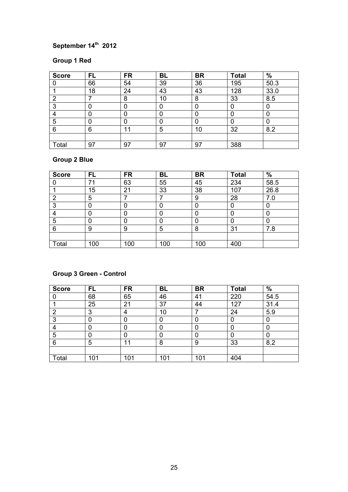# September 14<sup>th</sup> 2012

## Group 1 Red

| <b>Score</b> | <b>FL</b> | <b>FR</b> | <b>BL</b> | <b>BR</b> | <b>Total</b> | $\%$ |
|--------------|-----------|-----------|-----------|-----------|--------------|------|
|              | 66        | 54        | 39        | 36        | 195          | 50.3 |
|              | 18        | 24        | 43        | 43        | 128          | 33.0 |
| റ            |           | 8         | 10        | 8         | 33           | 8.5  |
| ◠            |           |           |           |           |              |      |
|              |           | 0         |           |           |              |      |
| 5            |           |           |           |           |              |      |
| 6            | 6         | 11        | 5         | 10        | 32           | 8.2  |
|              |           |           |           |           |              |      |
| Total        | 97        | 97        | 97        | 97        | 388          |      |

# Group 2 Blue

| <b>Score</b> | FL  | <b>FR</b> | <b>BL</b> | <b>BR</b> | <b>Total</b> | $\%$ |
|--------------|-----|-----------|-----------|-----------|--------------|------|
|              | 71  | 63        | 55        | 45        | 234          | 58.5 |
|              | 15  | 21        | 33        | 38        | 107          | 26.8 |
| റ            | 5   |           |           | 9         | 28           | 7.0  |
| ≏            |     |           |           | 0         |              |      |
|              |     |           |           | 0         |              |      |
| 5            |     |           |           | 0         |              | 0    |
| 6            | 9   | 9         | 5         | 8         | 31           | 7.8  |
|              |     |           |           |           |              |      |
| Total        | 100 | 100       | 100       | 100       | 400          |      |

# Group 3 Green - Control

| <b>Score</b> | <b>FL</b> | <b>FR</b> | <b>BL</b> | <b>BR</b> | <b>Total</b> | $\%$ |
|--------------|-----------|-----------|-----------|-----------|--------------|------|
|              | 68        | 65        | 46        | 41        | 220          | 54.5 |
|              | 25        | 21        | 37        | 44        | 127          | 31.4 |
| ົ            | 3         | 4         | 10        |           | 24           | 5.9  |
| 3            |           |           |           |           |              | 0    |
|              |           |           |           |           |              |      |
| 5            | 0         |           | 0         |           |              | 0    |
| 6            | 5         | 11        | 8         | 9         | 33           | 8.2  |
|              |           |           |           |           |              |      |
| Total        | 101       | 101       | 101       | 101       | 404          |      |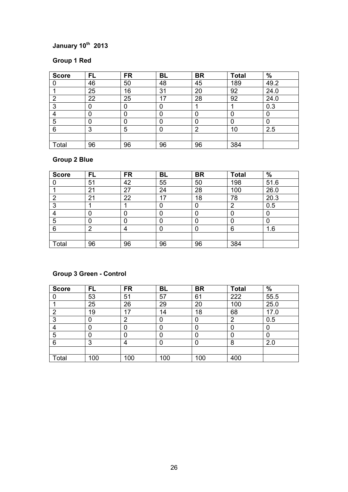# January 10th 2013

## Group 1 Red

| <b>Score</b> | <b>FL</b> | <b>FR</b> | <b>BL</b> | <b>BR</b> | <b>Total</b> | $\%$ |
|--------------|-----------|-----------|-----------|-----------|--------------|------|
|              | 46        | 50        | 48        | 45        | 189          | 49.2 |
|              | 25        | 16        | 31        | 20        | 92           | 24.0 |
| റ            | 22        | 25        | 17        | 28        | 92           | 24.0 |
| ◠            |           |           |           |           |              | 0.3  |
|              |           | 0         |           |           |              |      |
| 5            |           |           |           |           |              |      |
| 6            | 3         | 5         |           | າ         | 10           | 2.5  |
|              |           |           |           |           |              |      |
| Total        | 96        | 96        | 96        | 96        | 384          |      |

# Group 2 Blue

| <b>Score</b> | FL | <b>FR</b> | <b>BL</b> | <b>BR</b> | <b>Total</b> | $\frac{9}{6}$ |
|--------------|----|-----------|-----------|-----------|--------------|---------------|
|              | 51 | 42        | 55        | 50        | 198          | 51.6          |
|              | 21 | 27        | 24        | 28        | 100          | 26.0          |
| റ            | 21 | 22        | 17        | 18        | 78           | 20.3          |
| ິ            |    |           |           | 0         | റ            | 0.5           |
| 4            |    |           |           | 0         |              | O             |
| 5            |    |           | 0         | 0         |              | 0             |
| 6            | ົ  | 4         |           | 0         | 6            | 1.6           |
|              |    |           |           |           |              |               |
| Total        | 96 | 96        | 96        | 96        | 384          |               |

# Group 3 Green - Control

| <b>Score</b> | <b>FL</b> | <b>FR</b> | <b>BL</b> | <b>BR</b> | <b>Total</b> | $\%$ |
|--------------|-----------|-----------|-----------|-----------|--------------|------|
|              | 53        | 51        | 57        | 61        | 222          | 55.5 |
|              | 25        | 26        | 29        | 20        | 100          | 25.0 |
| ົ            | 19        | 17        | 14        | 18        | 68           | 17.0 |
| ≏            |           | റ         |           |           | റ            | 0.5  |
|              |           |           |           |           |              |      |
| 5            |           |           |           |           |              | 0    |
| 6            | 3         | 4         |           |           | 8            | 2.0  |
|              |           |           |           |           |              |      |
| Total        | 100       | 100       | 100       | 100       | 400          |      |